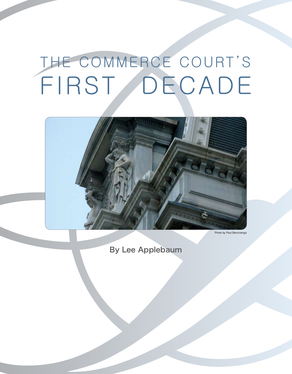# THE COMMERCE COURT'S FIRST DECADE



Photo by Paul Benciveng

By Lee Applebaum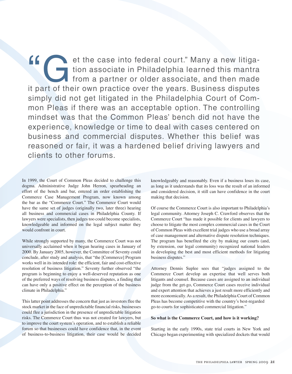et the case into federal court." Many a new litigation associate in Philadelphia learned this mantra<br>from a partner or older associate, and then made<br>it part of their own practice over the vears. Business disputes tion associate in Philadelphia learned this mantra from a partner or older associate, and then made it part of their own practice over the years. Business disputes simply did not get litigated in the Philadelphia Court of Common Pleas if there was an acceptable option. The controlling mindset was that the Common Pleas' bench did not have the experience, knowledge or time to deal with cases centered on business and commercial disputes. Whether this belief was reasoned or fair, it was a hardened belief driving lawyers and clients to other forums.

In 1999, the Court of Common Pleas decided to challenge this dogma. Administrative Judge John Herron, spearheading an effort of the bench and bar, entered an order establishing the Commerce Case Management Program, now known among the bar as the "Commerce Court." The Commerce Court would have the same set of judges (originally two, later three) hearing all business and commercial cases in Philadelphia County. If lawyers were specialists, then judges too could become specialists, knowledgeable and informed on the legal subject matter they would confront in court.

While strongly supported by many, the Commerce Court was not universally acclaimed when it began hearing cases in January of 2000. By January 2005, however, the Committee of Seventy could conclude, after study and analysis, that "the [Commerce] Program works well in its intended role: the efficient, fair and cost-effective resolution of business litigation." Seventy further observed "the program is beginning to enjoy a well-deserved reputation as one of the preferred ways of resolving business disputes, a finding that can have only a positive effect on the perception of the business climate in Philadelphia."

This latter point addresses the concern that just as investors flee the stock market in the face of unpredictable financial risks, businesses could flee a jurisdiction in the presence of unpredictable litigation risks. The Commerce Court thus was not created for lawyers, but to improve the court system's operation, and to establish a reliable forum so that businesses could have confidence that, in the event of business-to-business litigation, their case would be decided knowledgeably and reasonably. Even if a business loses its case, as long as it understands that its loss was the result of an informed and considered decision, it still can have confidence in the court making that decision.

Of course the Commerce Court is also important to Philadelphia's legal community. Attorney Joseph C. Crawford observes that the Commerce Court "has made it possible for clients and lawyers to choose to litigate the most complex commercial cases in the Court of Common Pleas with excellent trial judges who use a broad array of case management and alternative dispute resolution techniques. The program has benefited the city by making our courts (and, by extension, our legal community) recognized national leaders in developing the best and most efficient methods for litigating business disputes."

Attorney Dennis Suplee sees that "judges assigned to the Commerce Court develop an expertise that well serves both litigants and counsel. Because cases are assigned to an individual judge from the get-go, Commerce Court cases receive individual and expert attention that achieves a just result more efficiently and more economically. As a result, the Philadelphia Court of Common Pleas has become competitive with the country's best-regarded go-to courts for sophisticated commercial litigation."

#### **So what is the Commerce Court, and how is it working?**

Starting in the early 1990s, state trial courts in New York and Chicago began experimenting with specialized dockets that would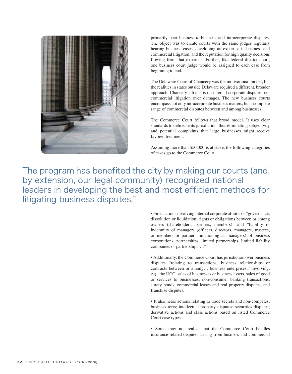

primarily hear business-to-business and intracorporate disputes. The object was to create courts with the same judges regularly hearing business cases, developing an expertise in business and commercial litigation, and the reputation for high quality decisions flowing from that expertise. Further, like federal district court, one business court judge would be assigned to each case from beginning to end.

The Delaware Court of Chancery was the motivational model, but the realities in states outside Delaware required a different, broader approach. Chancery's focus is on internal corporate disputes, not commercial litigation over damages. The new business courts encompass not only intracorporate business matters, but a complete range of commercial disputes between and among businesses.

The Commerce Court follows that broad model. It uses clear standards to delineate its jurisdiction, thus eliminating subjectivity and potential complaints that large businesses might receive favored treatment.

Assuming more than \$50,000 is at stake, the following categories of cases go to the Commerce Court:

The program has benefited the city by making our courts (and, by extension, our legal community) recognized national leaders in developing the best and most efficient methods for litigating business disputes."

> • First, actions involving internal corporate affairs, or "governance, dissolution or liquidation, rights or obligations between or among owners (shareholders, partners, members)" and "liability or indemnity of managers (officers, directors, managers, trustees, or members or partners functioning as managers) of business corporations, partnerships, limited partnerships, limited liability companies or partnerships…."

> • Additionally, the Commerce Court has jurisdiction over business disputes "relating to transactions, business relationships or contracts between or among… business enterprises," involving, *e.g.*, the UCC, sales of businesses or business assets, sales of good or services to businesses, non-consumer banking transactions, surety bonds, commercial leases and real property disputes, and franchise disputes.

> • It also hears actions relating to trade secrets and non-competes; business torts; intellectual property disputes; securities disputes; derivative actions and class actions based on listed Commerce Court case types.

> • Some may not realize that the Commerce Court handles insurance-related disputes arising from business and commercial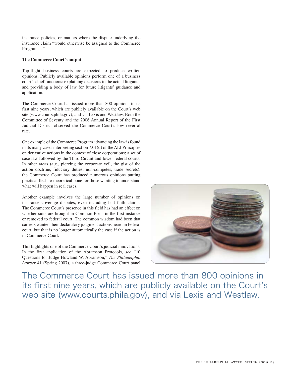insurance policies, or matters where the dispute underlying the insurance claim "would otherwise be assigned to the Commerce Program…."

#### **The Commerce Court's output**

Top-flight business courts are expected to produce written opinions. Publicly available opinions perform one of a business court's chief functions: explaining decisions to the actual litigants, and providing a body of law for future litigants' guidance and application.

The Commerce Court has issued more than 800 opinions in its first nine years, which are publicly available on the Court's web site (www.courts.phila.gov), and via Lexis and Westlaw. Both the Committee of Seventy and the 2006 Annual Report of the First Judicial District observed the Commerce Court's low reversal rate.

One example of the Commerce Program advancing the law is found in its many cases interpreting section 7.01(d) of the ALI Principles on derivative actions in the context of close corporations; a set of case law followed by the Third Circuit and lower federal courts. In other areas (*e.g.*, piercing the corporate veil, the gist of the action doctrine, fiduciary duties, non-competes, trade secrets), the Commerce Court has produced numerous opinions putting practical flesh to theoretical bone for those wanting to understand what will happen in real cases.

Another example involves the large number of opinions on insurance coverage disputes, even including bad faith claims. The Commerce Court's presence in this field has had an effect on whether suits are brought in Common Pleas in the first instance or removed to federal court. The common wisdom had been that carriers wanted their declaratory judgment actions heard in federal court, but that is no longer automatically the case if the action is in Commerce Court.

This highlights one of the Commerce Court's judicial innovations. In the first application of the Abramson Protocols, *see* "10 Questions for Judge Howland W. Abramson," *The Philadelphia Lawyer* 41 (Spring 2007), a three-judge Commerce Court panel



The Commerce Court has issued more than 800 opinions in its first nine years, which are publicly available on the Court's web site (www.courts.phila.gov), and via Lexis and Westlaw.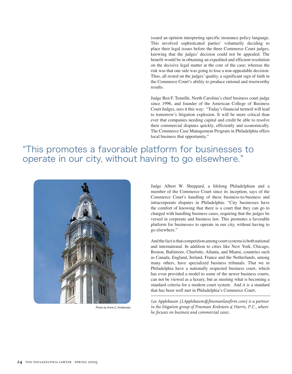issued an opinion interpreting specific insurance policy language. This involved sophisticated parties' voluntarily deciding to place their legal issues before the three Commerce Court judges, knowing that the judges' decision could not be appealed. The benefit would be in obtaining an expedited and efficient resolution on the decisive legal matter at the core of the case; whereas the risk was that one side was going to lose a non-appealable decision. Thus, all rested on the judges' quality, a significant sign of faith in the Commerce Court's ability to produce rational and trustworthy results.

Judge Ben F. Tennille, North Carolina's chief business court judge since 1996, and founder of the American College of Business Court Judges, sees it this way: "Today's financial turmoil will lead to tomorrow's litigation explosion. It will be more critical than ever that companies needing capital and credit be able to resolve their commercial disputes quickly, efficiently and economically. The Commerce Case Management Program in Philadelphia offers local business that opportunity."

### "This promotes a favorable platform for businesses to operate in our city, without having to go elsewhere."



Photo by Anne C. Kristensen

Judge Albert W. Sheppard, a lifelong Philadelphian and a member of the Commerce Court since its inception, says of the Commerce Court's handling of these business-to-business and intracorporate disputes in Philadelphia: "City businesses have the comfort of knowing that there is a court that they can go to charged with handling business cases, requiring that the judges be versed in corporate and business law. This promotes a favorable platform for businesses to operate in our city, without having to go elsewhere."

And the fact is that competition among court systems is both national and international. In addition to cities like New York, Chicago, Boston, Baltimore, Charlotte, Atlanta, and Miami, countries such as Canada, England, Ireland, France and the Netherlands, among many others, have specialized business tribunals. That we in Philadelphia have a nationally respected business court, which has even provided a model to some of the newer business courts, can not be viewed as a luxury, but as meeting what is becoming a standard criteria for a modern court system. And it is a standard that has been well met in Philadelphia's Commerce Court.

*Lee Applebaum (LApplebaum@finemanlawfirm.com) is a partner in the litigation group of Fineman Krekstein & Harris, P.C., where he focuses on business and commercial cases.*